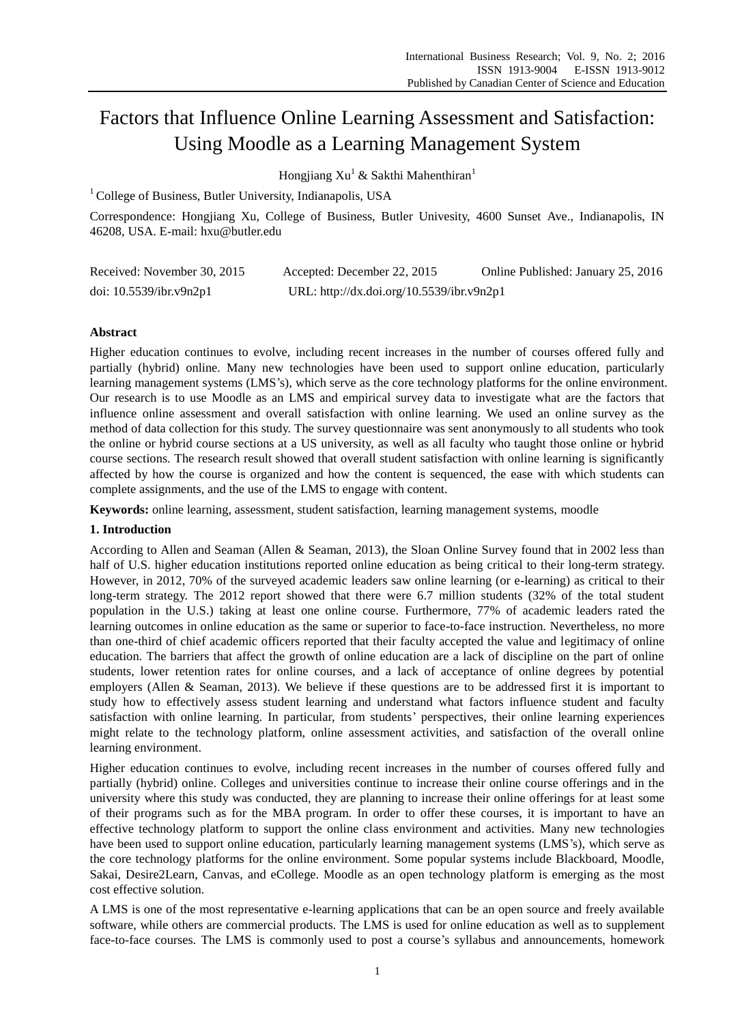# Factors that Influence Online Learning Assessment and Satisfaction: Using Moodle as a Learning Management System

Hongjiang  $Xu^1$  & Sakthi Mahenthiran<sup>1</sup>

 $<sup>1</sup>$  College of Business, Butler University, Indianapolis, USA</sup>

Correspondence: Hongjiang Xu, College of Business, Butler Univesity, 4600 Sunset Ave., Indianapolis, IN 46208, USA. E-mail: hxu@butler.edu

| Received: November 30, 2015 | Accepted: December 22, 2015               | Online Published: January 25, 2016 |
|-----------------------------|-------------------------------------------|------------------------------------|
| doi: $10.5539$ /ibr.v9n2p1  | URL: http://dx.doi.org/10.5539/ibr.v9n2p1 |                                    |

# **Abstract**

Higher education continues to evolve, including recent increases in the number of courses offered fully and partially (hybrid) online. Many new technologies have been used to support online education, particularly learning management systems (LMS's), which serve as the core technology platforms for the online environment. Our research is to use Moodle as an LMS and empirical survey data to investigate what are the factors that influence online assessment and overall satisfaction with online learning. We used an online survey as the method of data collection for this study. The survey questionnaire was sent anonymously to all students who took the online or hybrid course sections at a US university, as well as all faculty who taught those online or hybrid course sections. The research result showed that overall student satisfaction with online learning is significantly affected by how the course is organized and how the content is sequenced, the ease with which students can complete assignments, and the use of the LMS to engage with content.

**Keywords:** online learning, assessment, student satisfaction, learning management systems, moodle

## **1. Introduction**

According to Allen and Seaman [\(Allen & Seaman,](#page-10-0) 2013), the Sloan Online Survey found that in 2002 less than half of U.S. higher education institutions reported online education as being critical to their long-term strategy. However, in 2012, 70% of the surveyed academic leaders saw online learning (or e-learning) as critical to their long-term strategy. The 2012 report showed that there were 6.7 million students (32% of the total student population in the U.S.) taking at least one online course. Furthermore, 77% of academic leaders rated the learning outcomes in online education as the same or superior to face-to-face instruction. Nevertheless, no more than one-third of chief academic officers reported that their faculty accepted the value and legitimacy of online education. The barriers that affect the growth of online education are a lack of discipline on the part of online students, lower retention rates for online courses, and a lack of acceptance of online degrees by potential employers [\(Allen & Seaman, 2013\)](#page-10-0). We believe if these questions are to be addressed first it is important to study how to effectively assess student learning and understand what factors influence student and faculty satisfaction with online learning. In particular, from students' perspectives, their online learning experiences might relate to the technology platform, online assessment activities, and satisfaction of the overall online learning environment.

Higher education continues to evolve, including recent increases in the number of courses offered fully and partially (hybrid) online. Colleges and universities continue to increase their online course offerings and in the university where this study was conducted, they are planning to increase their online offerings for at least some of their programs such as for the MBA program. In order to offer these courses, it is important to have an effective technology platform to support the online class environment and activities. Many new technologies have been used to support online education, particularly learning management systems (LMS's), which serve as the core technology platforms for the online environment. Some popular systems include Blackboard, Moodle, Sakai, Desire2Learn, Canvas, and eCollege. Moodle as an open technology platform is emerging as the most cost effective solution.

A LMS is one of the most representative e-learning applications that can be an open source and freely available software, while others are commercial products. The LMS is used for online education as well as to supplement face-to-face courses. The LMS is commonly used to post a course's syllabus and announcements, homework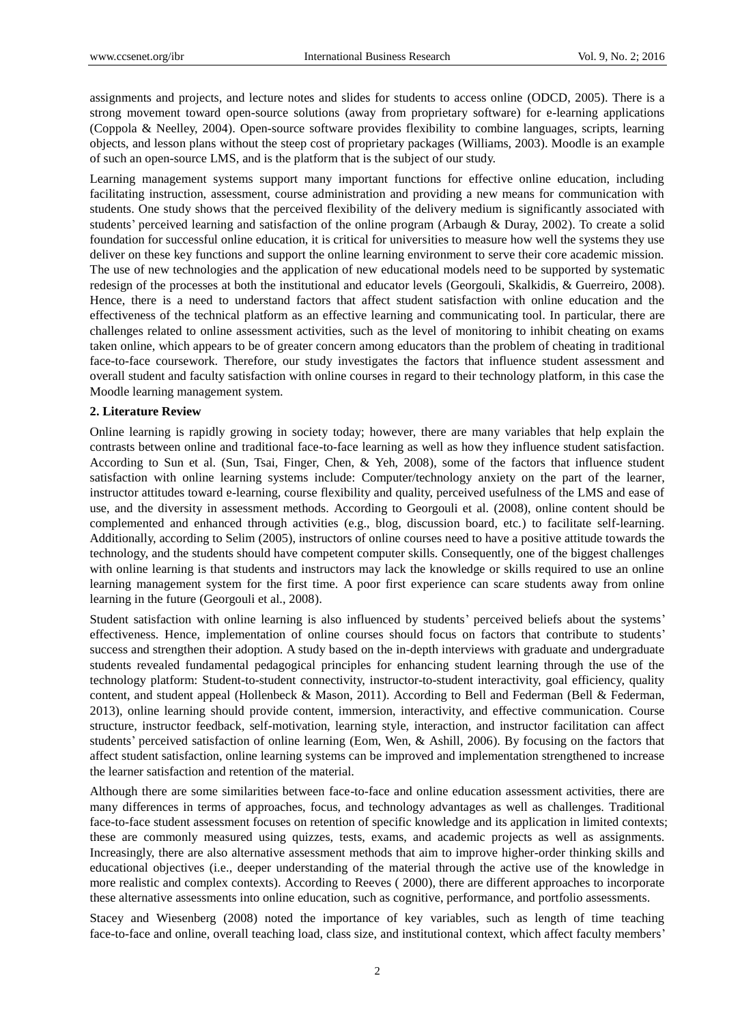assignments and projects, and lecture notes and slides for students to access online [\(ODCD, 2005\)](#page-11-0). There is a strong movement toward open-source solutions (away from proprietary software) for e-learning applications [\(Coppola & Neelley, 2004\)](#page-11-1). Open-source software provides flexibility to combine languages, scripts, learning objects, and lesson plans without the steep cost of proprietary packages [\(Williams, 2003\)](#page-12-0). Moodle is an example of such an open-source LMS, and is the platform that is the subject of our study.

Learning management systems support many important functions for effective online education, including facilitating instruction, assessment, course administration and providing a new means for communication with students. One study shows that the perceived flexibility of the delivery medium is significantly associated with students' perceived learning and satisfaction of the online program [\(Arbaugh & Duray, 2002\)](#page-10-1). To create a solid foundation for successful online education, it is critical for universities to measure how well the systems they use deliver on these key functions and support the online learning environment to serve their core academic mission. The use of new technologies and the application of new educational models need to be supported by systematic redesign of the processes at both the institutional and educator levels [\(Georgouli, Skalkidis, & Guerreiro, 2008\)](#page-11-2). Hence, there is a need to understand factors that affect student satisfaction with online education and the effectiveness of the technical platform as an effective learning and communicating tool. In particular, there are challenges related to online assessment activities, such as the level of monitoring to inhibit cheating on exams taken online, which appears to be of greater concern among educators than the problem of cheating in traditional face-to-face coursework. Therefore, our study investigates the factors that influence student assessment and overall student and faculty satisfaction with online courses in regard to their technology platform, in this case the Moodle learning management system.

#### **2. Literature Review**

Online learning is rapidly growing in society today; however, there are many variables that help explain the contrasts between online and traditional face-to-face learning as well as how they influence student satisfaction. According to Sun et al. [\(Sun, Tsai, Finger, Chen, & Yeh, 2008\)](#page-12-1), some of the factors that influence student satisfaction with online learning systems include: Computer/technology anxiety on the part of the learner, instructor attitudes toward e-learning, course flexibility and quality, perceived usefulness of the LMS and ease of use, and the diversity in assessment methods. According to Georgouli et al. [\(2008\)](#page-11-2), online content should be complemented and enhanced through activities (e.g., blog, discussion board, etc.) to facilitate self-learning. Additionally, according to Selim [\(2005\)](#page-12-2), instructors of online courses need to have a positive attitude towards the technology, and the students should have competent computer skills. Consequently, one of the biggest challenges with online learning is that students and instructors may lack the knowledge or skills required to use an online learning management system for the first time. A poor first experience can scare students away from online learning in the future [\(Georgouli et al., 2008\)](#page-11-2).

Student satisfaction with online learning is also influenced by students' perceived beliefs about the systems' effectiveness. Hence, implementation of online courses should focus on factors that contribute to students' success and strengthen their adoption. A study based on the in-depth interviews with graduate and undergraduate students revealed fundamental pedagogical principles for enhancing student learning through the use of the technology platform: Student-to-student connectivity, instructor-to-student interactivity, goal efficiency, quality content, and student appeal [\(Hollenbeck & Mason, 2011\)](#page-11-3). According to Bell and Federman [\(Bell & Federman,](#page-11-4)  [2013\)](#page-11-4), online learning should provide content, immersion, interactivity, and effective communication. Course structure, instructor feedback, self-motivation, learning style, interaction, and instructor facilitation can affect students' perceived satisfaction of online learning [\(Eom, Wen, & Ashill, 2006\)](#page-11-5). By focusing on the factors that affect student satisfaction, online learning systems can be improved and implementation strengthened to increase the learner satisfaction and retention of the material.

Although there are some similarities between face-to-face and online education assessment activities, there are many differences in terms of approaches, focus, and technology advantages as well as challenges. Traditional face-to-face student assessment focuses on retention of specific knowledge and its application in limited contexts; these are commonly measured using quizzes, tests, exams, and academic projects as well as assignments. Increasingly, there are also alternative assessment methods that aim to improve higher-order thinking skills and educational objectives (i.e., deeper understanding of the material through the active use of the knowledge in more realistic and complex contexts). According to Reeves ( [2000\)](#page-11-6), there are different approaches to incorporate these alternative assessments into online education, such as cognitive, performance, and portfolio assessments.

Stacey and Wiesenberg [\(2008\)](#page-12-3) noted the importance of key variables, such as length of time teaching face-to-face and online, overall teaching load, class size, and institutional context, which affect faculty members'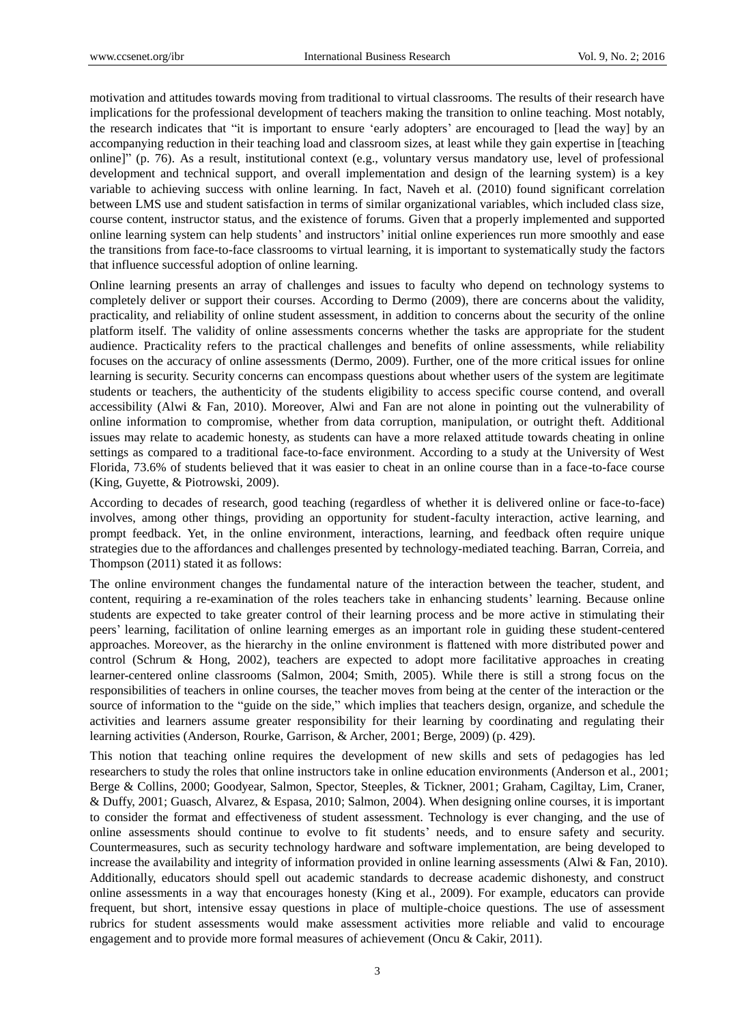motivation and attitudes towards moving from traditional to virtual classrooms. The results of their research have implications for the professional development of teachers making the transition to online teaching. Most notably, the research indicates that "it is important to ensure 'early adopters' are encouraged to [lead the way] by an accompanying reduction in their teaching load and classroom sizes, at least while they gain expertise in [teaching online]" (p. 76). As a result, institutional context (e.g., voluntary versus mandatory use, level of professional development and technical support, and overall implementation and design of the learning system) is a key variable to achieving success with online learning. In fact, Naveh et al. [\(2010\)](#page-11-7) found significant correlation between LMS use and student satisfaction in terms of similar organizational variables, which included class size, course content, instructor status, and the existence of forums. Given that a properly implemented and supported online learning system can help students' and instructors' initial online experiences run more smoothly and ease the transitions from face-to-face classrooms to virtual learning, it is important to systematically study the factors that influence successful adoption of online learning.

Online learning presents an array of challenges and issues to faculty who depend on technology systems to completely deliver or support their courses. According to Dermo [\(2009\)](#page-11-8), there are concerns about the validity, practicality, and reliability of online student assessment, in addition to concerns about the security of the online platform itself. The validity of online assessments concerns whether the tasks are appropriate for the student audience. Practicality refers to the practical challenges and benefits of online assessments, while reliability focuses on the accuracy of online assessments [\(Dermo, 2009\)](#page-11-8). Further, one of the more critical issues for online learning is security. Security concerns can encompass questions about whether users of the system are legitimate students or teachers, the authenticity of the students eligibility to access specific course contend, and overall accessibility [\(Alwi & Fan, 2010\)](#page-10-2). Moreover, Alwi and Fan are not alone in pointing out the vulnerability of online information to compromise, whether from data corruption, manipulation, or outright theft. Additional issues may relate to academic honesty, as students can have a more relaxed attitude towards cheating in online settings as compared to a traditional face-to-face environment. According to a study at the University of West Florida, 73.6% of students believed that it was easier to cheat in an online course than in a face-to-face course [\(King, Guyette, & Piotrowski, 2009\)](#page-11-9).

According to decades of research, good teaching (regardless of whether it is delivered online or face-to-face) involves, among other things, providing an opportunity for student-faculty interaction, active learning, and prompt feedback. Yet, in the online environment, interactions, learning, and feedback often require unique strategies due to the affordances and challenges presented by technology-mediated teaching. Barran, Correia, and Thompson [\(2011\)](#page-10-3) stated it as follows:

The online environment changes the fundamental nature of the interaction between the teacher, student, and content, requiring a re-examination of the roles teachers take in enhancing students' learning. Because online students are expected to take greater control of their learning process and be more active in stimulating their peers' learning, facilitation of online learning emerges as an important role in guiding these student-centered approaches. Moreover, as the hierarchy in the online environment is flattened with more distributed power and control [\(Schrum & Hong, 2002\)](#page-12-4), teachers are expected to adopt more facilitative approaches in creating learner-centered online classrooms [\(Salmon, 2004;](#page-12-5) [Smith, 2005\)](#page-12-6). While there is still a strong focus on the responsibilities of teachers in online courses, the teacher moves from being at the center of the interaction or the source of information to the "guide on the side," which implies that teachers design, organize, and schedule the activities and learners assume greater responsibility for their learning by coordinating and regulating their learning activities [\(Anderson, Rourke, Garrison, & Archer, 2001;](#page-10-4) [Berge, 2009\)](#page-11-10) (p. 429).

This notion that teaching online requires the development of new skills and sets of pedagogies has led researchers to study the roles that online instructors take in online education environments [\(Anderson et al., 2001;](#page-10-4) [Berge & Collins, 2000;](#page-11-11) [Goodyear, Salmon, Spector, Steeples, & Tickner, 2001;](#page-11-12) [Graham, Cagiltay, Lim, Craner,](#page-11-13)  [& Duffy, 2001;](#page-11-13) [Guasch, Alvarez, & Espasa, 2010;](#page-11-14) [Salmon, 2004\)](#page-12-5). When designing online courses, it is important to consider the format and effectiveness of student assessment. Technology is ever changing, and the use of online assessments should continue to evolve to fit students' needs, and to ensure safety and security. Countermeasures, such as security technology hardware and software implementation, are being developed to increase the availability and integrity of information provided in online learning assessments [\(Alwi & Fan, 2010\)](#page-10-2). Additionally, educators should spell out academic standards to decrease academic dishonesty, and construct online assessments in a way that encourages honesty [\(King et al., 2009\)](#page-11-9). For example, educators can provide frequent, but short, intensive essay questions in place of multiple-choice questions. The use of assessment rubrics for student assessments would make assessment activities more reliable and valid to encourage engagement and to provide more formal measures of achievement [\(Oncu & Cakir, 2011\)](#page-11-15).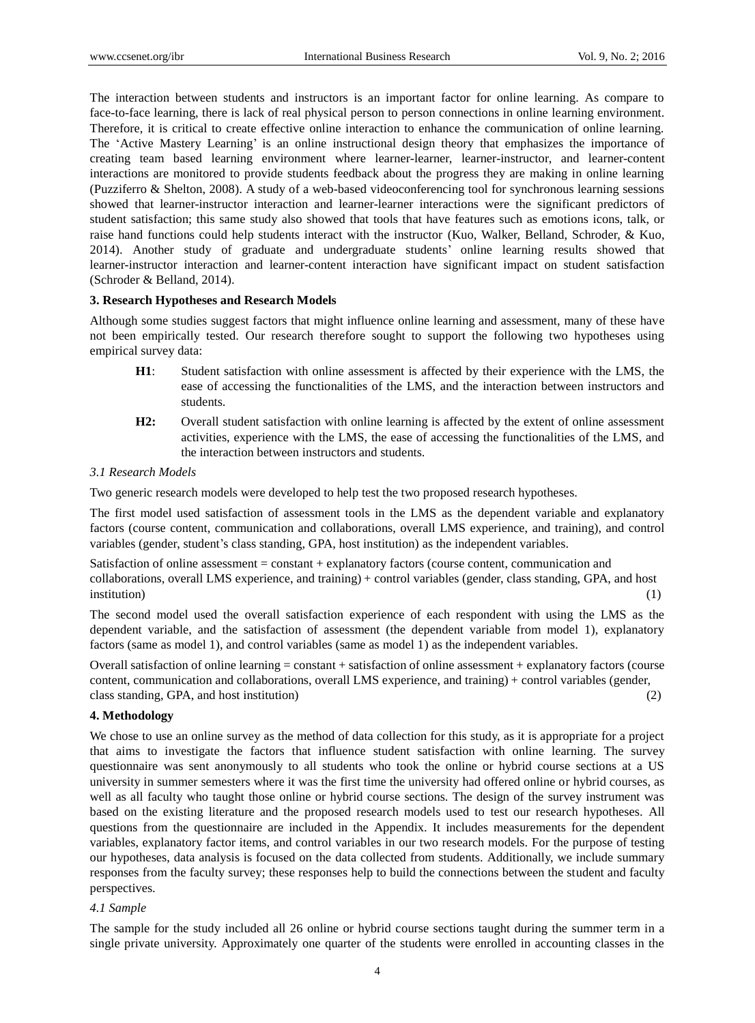The interaction between students and instructors is an important factor for online learning. As compare to face-to-face learning, there is lack of real physical person to person connections in online learning environment. Therefore, it is critical to create effective online interaction to enhance the communication of online learning. The 'Active Mastery Learning' is an online instructional design theory that emphasizes the importance of creating team based learning environment where learner-learner, learner-instructor, and learner-content interactions are monitored to provide students feedback about the progress they are making in online learning [\(Puzziferro & Shelton, 2008\)](#page-11-16). A study of a web-based videoconferencing tool for synchronous learning sessions showed that learner-instructor interaction and learner-learner interactions were the significant predictors of student satisfaction; this same study also showed that tools that have features such as emotions icons, talk, or raise hand functions could help students interact with the instructor [\(Kuo, Walker, Belland, Schroder, & Kuo,](#page-11-17)  [2014\)](#page-11-17). Another study of graduate and undergraduate students' online learning results showed that learner-instructor interaction and learner-content interaction have significant impact on student satisfaction [\(Schroder & Belland, 2014\)](#page-12-7).

## **3. Research Hypotheses and Research Models**

Although some studies suggest factors that might influence online learning and assessment, many of these have not been empirically tested. Our research therefore sought to support the following two hypotheses using empirical survey data:

- **H1**: Student satisfaction with online assessment is affected by their experience with the LMS, the ease of accessing the functionalities of the LMS, and the interaction between instructors and students.
- **H2:** Overall student satisfaction with online learning is affected by the extent of online assessment activities, experience with the LMS, the ease of accessing the functionalities of the LMS, and the interaction between instructors and students.

## *3.1 Research Models*

Two generic research models were developed to help test the two proposed research hypotheses.

The first model used satisfaction of assessment tools in the LMS as the dependent variable and explanatory factors (course content, communication and collaborations, overall LMS experience, and training), and control variables (gender, student's class standing, GPA, host institution) as the independent variables.

Satisfaction of online assessment = constant + explanatory factors (course content, communication and collaborations, overall LMS experience, and training) + control variables (gender, class standing, GPA, and host institution) (1)

The second model used the overall satisfaction experience of each respondent with using the LMS as the dependent variable, and the satisfaction of assessment (the dependent variable from model 1), explanatory factors (same as model 1), and control variables (same as model 1) as the independent variables.

Overall satisfaction of online learning = constant + satisfaction of online assessment + explanatory factors (course content, communication and collaborations, overall LMS experience, and training) + control variables (gender, class standing, GPA, and host institution) (2)

## **4. Methodology**

We chose to use an online survey as the method of data collection for this study, as it is appropriate for a project that aims to investigate the factors that influence student satisfaction with online learning. The survey questionnaire was sent anonymously to all students who took the online or hybrid course sections at a US university in summer semesters where it was the first time the university had offered online or hybrid courses, as well as all faculty who taught those online or hybrid course sections. The design of the survey instrument was based on the existing literature and the proposed research models used to test our research hypotheses. All questions from the questionnaire are included in the Appendix. It includes measurements for the dependent variables, explanatory factor items, and control variables in our two research models. For the purpose of testing our hypotheses, data analysis is focused on the data collected from students. Additionally, we include summary responses from the faculty survey; these responses help to build the connections between the student and faculty perspectives.

## *4.1 Sample*

The sample for the study included all 26 online or hybrid course sections taught during the summer term in a single private university. Approximately one quarter of the students were enrolled in accounting classes in the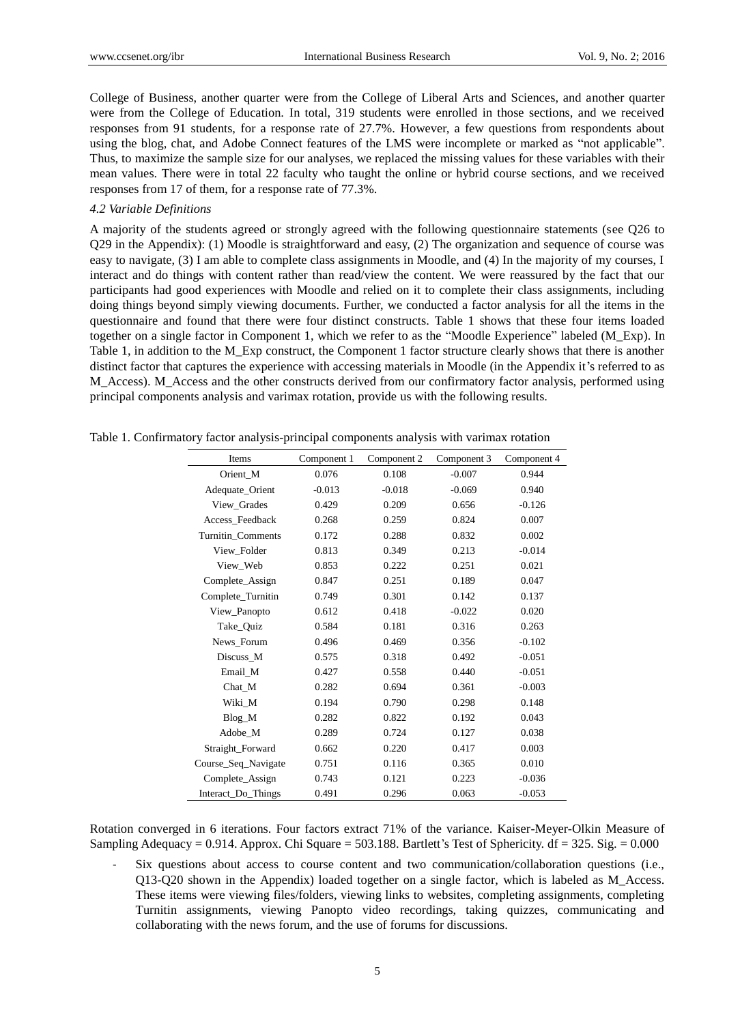College of Business, another quarter were from the College of Liberal Arts and Sciences, and another quarter were from the College of Education. In total, 319 students were enrolled in those sections, and we received responses from 91 students, for a response rate of 27.7%. However, a few questions from respondents about using the blog, chat, and Adobe Connect features of the LMS were incomplete or marked as "not applicable". Thus, to maximize the sample size for our analyses, we replaced the missing values for these variables with their mean values. There were in total 22 faculty who taught the online or hybrid course sections, and we received responses from 17 of them, for a response rate of 77.3%.

#### *4.2 Variable Definitions*

A majority of the students agreed or strongly agreed with the following questionnaire statements (see Q26 to Q29 in the Appendix): (1) Moodle is straightforward and easy, (2) The organization and sequence of course was easy to navigate, (3) I am able to complete class assignments in Moodle, and (4) In the majority of my courses, I interact and do things with content rather than read/view the content. We were reassured by the fact that our participants had good experiences with Moodle and relied on it to complete their class assignments, including doing things beyond simply viewing documents. Further, we conducted a factor analysis for all the items in the questionnaire and found that there were four distinct constructs. Table 1 shows that these four items loaded together on a single factor in Component 1, which we refer to as the "Moodle Experience" labeled (M\_Exp). In Table 1, in addition to the M\_Exp construct, the Component 1 factor structure clearly shows that there is another distinct factor that captures the experience with accessing materials in Moodle (in the Appendix it's referred to as M\_Access). M\_Access and the other constructs derived from our confirmatory factor analysis, performed using principal components analysis and varimax rotation, provide us with the following results.

| Items               | Component 1 | Component 2 | Component 3 | Component 4 |
|---------------------|-------------|-------------|-------------|-------------|
| Orient_M            | 0.076       | 0.108       | $-0.007$    | 0.944       |
| Adequate_Orient     | $-0.013$    | $-0.018$    | $-0.069$    | 0.940       |
| View_Grades         | 0.429       | 0.209       | 0.656       | $-0.126$    |
| Access Feedback     | 0.268       | 0.259       | 0.824       | 0.007       |
| Turnitin Comments   | 0.172       | 0.288       | 0.832       | 0.002       |
| View_Folder         | 0.813       | 0.349       | 0.213       | $-0.014$    |
| View_Web            | 0.853       | 0.222       | 0.251       | 0.021       |
| Complete_Assign     | 0.847       | 0.251       | 0.189       | 0.047       |
| Complete_Turnitin   | 0.749       | 0.301       | 0.142       | 0.137       |
| View_Panopto        | 0.612       | 0.418       | $-0.022$    | 0.020       |
| Take_Quiz           | 0.584       | 0.181       | 0.316       | 0.263       |
| News Forum          | 0.496       | 0.469       | 0.356       | $-0.102$    |
| Discuss M           | 0.575       | 0.318       | 0.492       | $-0.051$    |
| Email_M             | 0.427       | 0.558       | 0.440       | $-0.051$    |
| Chat_M              | 0.282       | 0.694       | 0.361       | $-0.003$    |
| Wiki_M              | 0.194       | 0.790       | 0.298       | 0.148       |
| Blog_M              | 0.282       | 0.822       | 0.192       | 0.043       |
| Adobe M             | 0.289       | 0.724       | 0.127       | 0.038       |
| Straight_Forward    | 0.662       | 0.220       | 0.417       | 0.003       |
| Course_Seq_Navigate | 0.751       | 0.116       | 0.365       | 0.010       |
| Complete_Assign     | 0.743       | 0.121       | 0.223       | $-0.036$    |
| Interact_Do_Things  | 0.491       | 0.296       | 0.063       | $-0.053$    |

Table 1. Confirmatory factor analysis-principal components analysis with varimax rotation

Rotation converged in 6 iterations. Four factors extract 71% of the variance. Kaiser-Meyer-Olkin Measure of Sampling Adequacy =  $0.914$ . Approx. Chi Square = 503.188. Bartlett's Test of Sphericity. df = 325. Sig. =  $0.000$ 

Six questions about access to course content and two communication/collaboration questions (i.e., Q13-Q20 shown in the Appendix) loaded together on a single factor, which is labeled as M\_Access. These items were viewing files/folders, viewing links to websites, completing assignments, completing Turnitin assignments, viewing Panopto video recordings, taking quizzes, communicating and collaborating with the news forum, and the use of forums for discussions.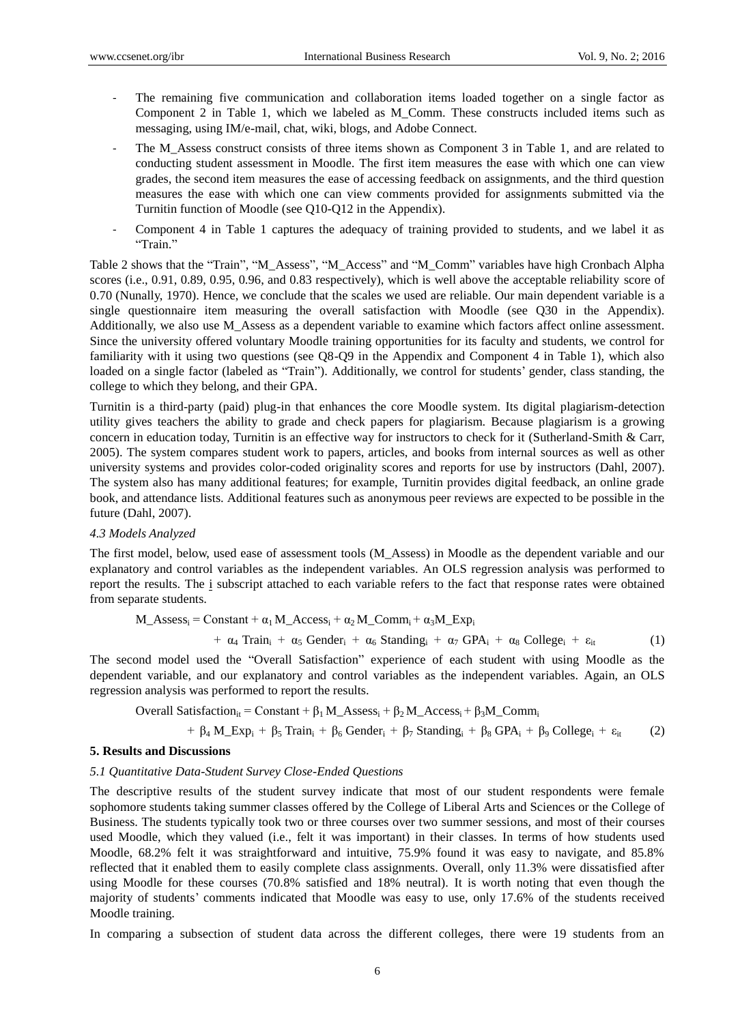- The remaining five communication and collaboration items loaded together on a single factor as Component 2 in Table 1, which we labeled as M\_Comm. These constructs included items such as messaging, using IM/e-mail, chat, wiki, blogs, and Adobe Connect.
- The M\_Assess construct consists of three items shown as Component 3 in Table 1, and are related to conducting student assessment in Moodle. The first item measures the ease with which one can view grades, the second item measures the ease of accessing feedback on assignments, and the third question measures the ease with which one can view comments provided for assignments submitted via the Turnitin function of Moodle (see Q10-Q12 in the Appendix).
- Component 4 in Table 1 captures the adequacy of training provided to students, and we label it as "Train."

Table 2 shows that the "Train", "M\_Assess", "M\_Access" and "M\_Comm" variables have high Cronbach Alpha scores (i.e., 0.91, 0.89, 0.95, 0.96, and 0.83 respectively), which is well above the acceptable reliability score of 0.70 (Nunally, 1970). Hence, we conclude that the scales we used are reliable. Our main dependent variable is a single questionnaire item measuring the overall satisfaction with Moodle (see Q30 in the Appendix). Additionally, we also use M\_Assess as a dependent variable to examine which factors affect online assessment. Since the university offered voluntary Moodle training opportunities for its faculty and students, we control for familiarity with it using two questions (see Q8-Q9 in the Appendix and Component 4 in Table 1), which also loaded on a single factor (labeled as "Train"). Additionally, we control for students' gender, class standing, the college to which they belong, and their GPA.

Turnitin is a third-party (paid) plug-in that enhances the core Moodle system. Its digital plagiarism-detection utility gives teachers the ability to grade and check papers for plagiarism. Because plagiarism is a growing concern in education today, Turnitin is an effective way for instructors to check for it [\(Sutherland-Smith & Carr,](#page-12-8)  [2005\)](#page-12-8). The system compares student work to papers, articles, and books from internal sources as well as other university systems and provides color-coded originality scores and reports for use by instructors [\(Dahl, 2007\)](#page-11-18). The system also has many additional features; for example, Turnitin provides digital feedback, an online grade book, and attendance lists. Additional features such as anonymous peer reviews are expected to be possible in the future [\(Dahl, 2007\)](#page-11-18).

### *4.3 Models Analyzed*

The first model, below, used ease of assessment tools (M\_Assess) in Moodle as the dependent variable and our explanatory and control variables as the independent variables. An OLS regression analysis was performed to report the results. The i subscript attached to each variable refers to the fact that response rates were obtained from separate students.

$$
M\_Assess_i = \text{Constant} + \alpha_1 M\_Access_i + \alpha_2 M\_Comm_i + \alpha_3 M\_Exp_i
$$
  
+  $\alpha_4$  Train<sub>i</sub> +  $\alpha_5$  Gender<sub>i</sub> +  $\alpha_6$  Standing<sub>i</sub> +  $\alpha_7$  GPA<sub>i</sub> +  $\alpha_8$  College<sub>i</sub> +  $\varepsilon_{it}$  (1)

The second model used the "Overall Satisfaction" experience of each student with using Moodle as the dependent variable, and our explanatory and control variables as the independent variables. Again, an OLS regression analysis was performed to report the results.

Overall Satisfactor<sub>it</sub> = Constant + 
$$
\beta_1 M_{\_\_\
$$
Assess<sub>i</sub> +  $\beta_2 M_{\_\_\$ Access<sub>i</sub> +  $\beta_3 M_{\_\_\_\$ Comm<sub>i</sub>

+ 
$$
\beta_4
$$
 M<sub>-</sub>Exp<sub>i</sub> +  $\beta_5$ Train<sub>i</sub> +  $\beta_6$ Gender<sub>i</sub> +  $\beta_7$  Standing<sub>i</sub> +  $\beta_8$  GPA<sub>i</sub> +  $\beta_9$  College<sub>i</sub> +  $\varepsilon_{it}$  (2)

#### **5. Results and Discussions**

#### *5.1 Quantitative Data-Student Survey Close-Ended Questions*

The descriptive results of the student survey indicate that most of our student respondents were female sophomore students taking summer classes offered by the College of Liberal Arts and Sciences or the College of Business. The students typically took two or three courses over two summer sessions, and most of their courses used Moodle, which they valued (i.e., felt it was important) in their classes. In terms of how students used Moodle, 68.2% felt it was straightforward and intuitive, 75.9% found it was easy to navigate, and 85.8% reflected that it enabled them to easily complete class assignments. Overall, only 11.3% were dissatisfied after using Moodle for these courses (70.8% satisfied and 18% neutral). It is worth noting that even though the majority of students' comments indicated that Moodle was easy to use, only 17.6% of the students received Moodle training.

In comparing a subsection of student data across the different colleges, there were 19 students from an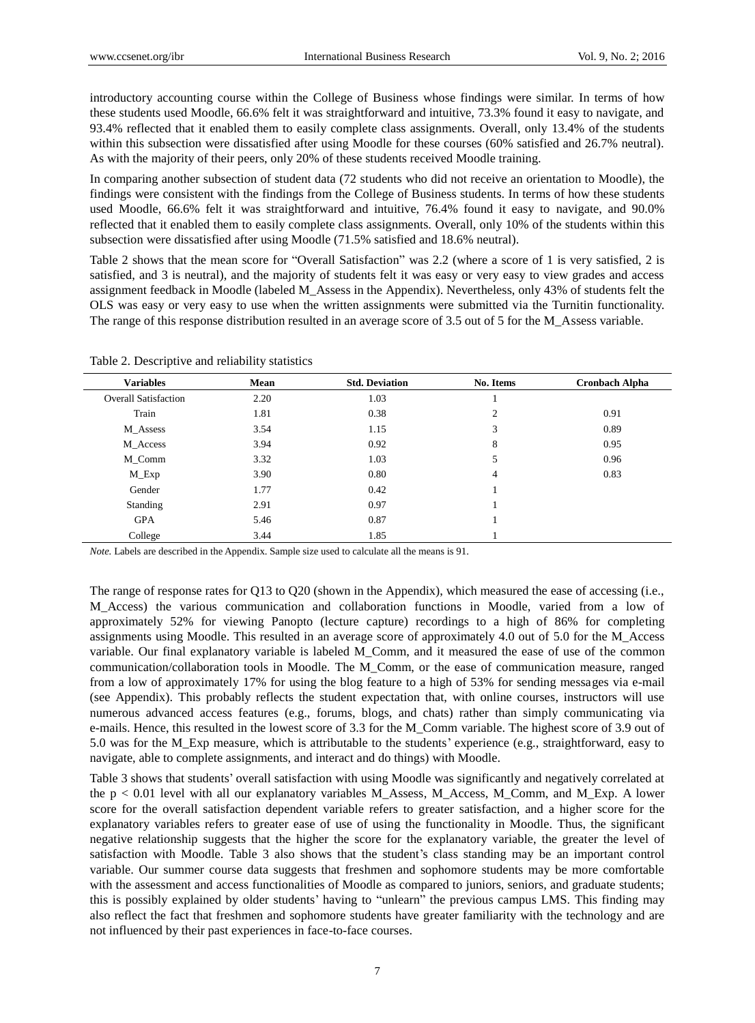introductory accounting course within the College of Business whose findings were similar. In terms of how these students used Moodle, 66.6% felt it was straightforward and intuitive, 73.3% found it easy to navigate, and 93.4% reflected that it enabled them to easily complete class assignments. Overall, only 13.4% of the students within this subsection were dissatisfied after using Moodle for these courses (60% satisfied and 26.7% neutral). As with the majority of their peers, only 20% of these students received Moodle training.

In comparing another subsection of student data (72 students who did not receive an orientation to Moodle), the findings were consistent with the findings from the College of Business students. In terms of how these students used Moodle, 66.6% felt it was straightforward and intuitive, 76.4% found it easy to navigate, and 90.0% reflected that it enabled them to easily complete class assignments. Overall, only 10% of the students within this subsection were dissatisfied after using Moodle (71.5% satisfied and 18.6% neutral).

Table 2 shows that the mean score for "Overall Satisfaction" was 2.2 (where a score of 1 is very satisfied, 2 is satisfied, and 3 is neutral), and the majority of students felt it was easy or very easy to view grades and access assignment feedback in Moodle (labeled M\_Assess in the Appendix). Nevertheless, only 43% of students felt the OLS was easy or very easy to use when the written assignments were submitted via the Turnitin functionality. The range of this response distribution resulted in an average score of 3.5 out of 5 for the M\_Assess variable.

| <b>Variables</b>            | Mean | <b>Std. Deviation</b> | No. Items      | <b>Cronbach Alpha</b> |
|-----------------------------|------|-----------------------|----------------|-----------------------|
| <b>Overall Satisfaction</b> | 2.20 | 1.03                  |                |                       |
| Train                       | 1.81 | 0.38                  | 2              | 0.91                  |
| M_Assess                    | 3.54 | 1.15                  | 3              | 0.89                  |
| M Access                    | 3.94 | 0.92                  | 8              | 0.95                  |
| M Comm                      | 3.32 | 1.03                  | 5              | 0.96                  |
| $M$ <sub>L</sub> Exp        | 3.90 | 0.80                  | $\overline{4}$ | 0.83                  |
| Gender                      | 1.77 | 0.42                  |                |                       |
| Standing                    | 2.91 | 0.97                  |                |                       |
| <b>GPA</b>                  | 5.46 | 0.87                  |                |                       |
| College                     | 3.44 | 1.85                  |                |                       |

Table 2. Descriptive and reliability statistics

*Note.* Labels are described in the Appendix. Sample size used to calculate all the means is 91.

The range of response rates for Q13 to Q20 (shown in the Appendix), which measured the ease of accessing (i.e., M\_Access) the various communication and collaboration functions in Moodle, varied from a low of approximately 52% for viewing Panopto (lecture capture) recordings to a high of 86% for completing assignments using Moodle. This resulted in an average score of approximately 4.0 out of 5.0 for the M\_Access variable. Our final explanatory variable is labeled M\_Comm, and it measured the ease of use of the common communication/collaboration tools in Moodle. The M\_Comm, or the ease of communication measure, ranged from a low of approximately 17% for using the blog feature to a high of 53% for sending messages via e-mail (see Appendix). This probably reflects the student expectation that, with online courses, instructors will use numerous advanced access features (e.g., forums, blogs, and chats) rather than simply communicating via e-mails. Hence, this resulted in the lowest score of 3.3 for the M\_Comm variable. The highest score of 3.9 out of 5.0 was for the M\_Exp measure, which is attributable to the students' experience (e.g., straightforward, easy to navigate, able to complete assignments, and interact and do things) with Moodle.

Table 3 shows that students' overall satisfaction with using Moodle was significantly and negatively correlated at the  $p < 0.01$  level with all our explanatory variables M Assess, M Access, M Comm, and M Exp. A lower score for the overall satisfaction dependent variable refers to greater satisfaction, and a higher score for the explanatory variables refers to greater ease of use of using the functionality in Moodle. Thus, the significant negative relationship suggests that the higher the score for the explanatory variable, the greater the level of satisfaction with Moodle. Table 3 also shows that the student's class standing may be an important control variable. Our summer course data suggests that freshmen and sophomore students may be more comfortable with the assessment and access functionalities of Moodle as compared to juniors, seniors, and graduate students; this is possibly explained by older students' having to "unlearn" the previous campus LMS. This finding may also reflect the fact that freshmen and sophomore students have greater familiarity with the technology and are not influenced by their past experiences in face-to-face courses.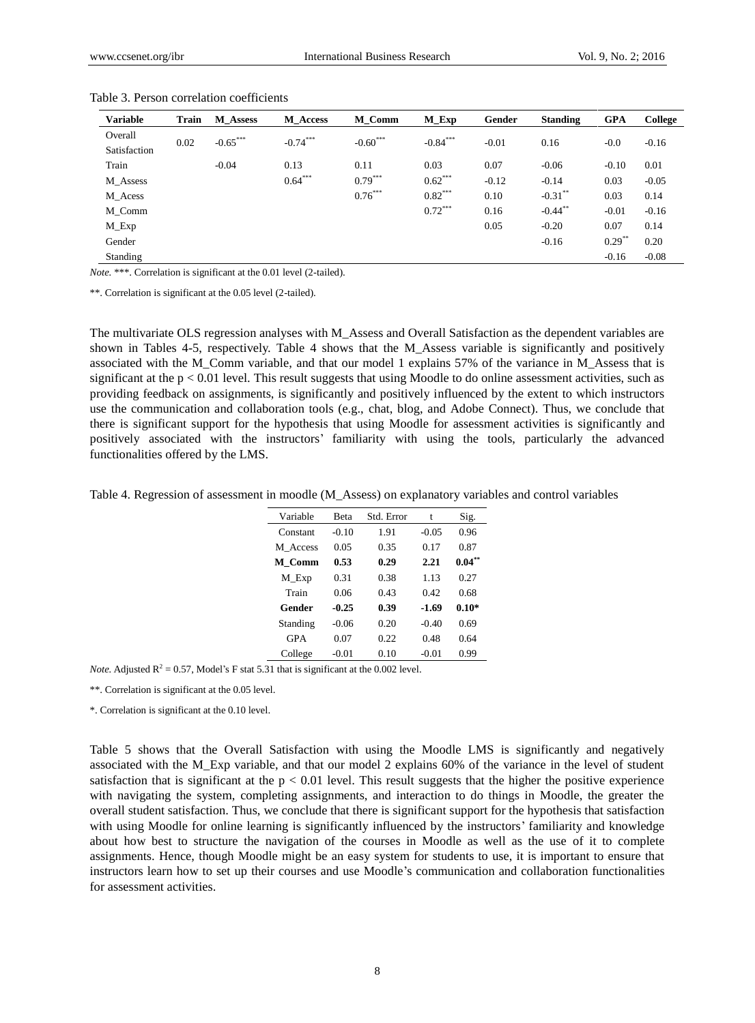| <b>Variable</b>      | Train | <b>M</b> Assess | M Access   | M Comm      | M_Exp      | Gender  | <b>Standing</b>       | <b>GPA</b>           | College |
|----------------------|-------|-----------------|------------|-------------|------------|---------|-----------------------|----------------------|---------|
| Overall              | 0.02  | $-0.65***$      | $-0.74***$ | $-0.60$ *** | $-0.84***$ | $-0.01$ |                       |                      |         |
| Satisfaction         |       |                 |            |             |            |         | 0.16                  | $-0.0$               | $-0.16$ |
| Train                |       | $-0.04$         | 0.13       | 0.11        | 0.03       | 0.07    | $-0.06$               | $-0.10$              | 0.01    |
| M Assess             |       |                 | $0.64***$  | $0.79***$   | $0.62***$  | $-0.12$ | $-0.14$               | 0.03                 | $-0.05$ |
| M Acess              |       |                 |            | $0.76***$   | $0.82***$  | 0.10    | $-0.31***$            | 0.03                 | 0.14    |
| M Comm               |       |                 |            |             | $0.72***$  | 0.16    | $-0.44$ <sup>**</sup> | $-0.01$              | $-0.16$ |
| $M$ <sub>_</sub> Exp |       |                 |            |             |            | 0.05    | $-0.20$               | 0.07                 | 0.14    |
| Gender               |       |                 |            |             |            |         | $-0.16$               | $0.29$ <sup>**</sup> | 0.20    |
| Standing             |       |                 |            |             |            |         |                       | $-0.16$              | $-0.08$ |

Table 3. Person correlation coefficients

*Note.* \*\*\*. Correlation is significant at the 0.01 level (2-tailed).

\*\*. Correlation is significant at the 0.05 level (2-tailed).

The multivariate OLS regression analyses with M\_Assess and Overall Satisfaction as the dependent variables are shown in Tables 4-5, respectively. Table 4 shows that the M\_Assess variable is significantly and positively associated with the M\_Comm variable, and that our model 1 explains 57% of the variance in M\_Assess that is significant at the  $p < 0.01$  level. This result suggests that using Moodle to do online assessment activities, such as providing feedback on assignments, is significantly and positively influenced by the extent to which instructors use the communication and collaboration tools (e.g., chat, blog, and Adobe Connect). Thus, we conclude that there is significant support for the hypothesis that using Moodle for assessment activities is significantly and positively associated with the instructors' familiarity with using the tools, particularly the advanced functionalities offered by the LMS.

Table 4. Regression of assessment in moodle (M\_Assess) on explanatory variables and control variables

| Variable   | Beta    | Std. Error | t       | Sig.      |
|------------|---------|------------|---------|-----------|
| Constant   | $-0.10$ | 1.91       | $-0.05$ | 0.96      |
| M Access   | 0.05    | 0.35       | 0.17    | 0.87      |
| M Comm     | 0.53    | 0.29       | 2.21    | $0.04***$ |
| M_Exp      | 0.31    | 0.38       | 1.13    | 0.27      |
| Train      | 0.06    | 0.43       | 0.42    | 0.68      |
| Gender     | $-0.25$ | 0.39       | $-1.69$ | $0.10*$   |
| Standing   | $-0.06$ | 0.20       | $-0.40$ | 0.69      |
| <b>GPA</b> | 0.07    | 0.22       | 0.48    | 0.64      |
| College    | $-0.01$ | 0.10       | $-0.01$ | 0.99      |
|            |         | 0.0021     |         |           |

*Note.* Adjusted  $R^2 = 0.57$ , Model's F stat 5.31 that is significant at the 0.002 level.

\*\*. Correlation is significant at the 0.05 level.

\*. Correlation is significant at the 0.10 level.

Table 5 shows that the Overall Satisfaction with using the Moodle LMS is significantly and negatively associated with the M\_Exp variable, and that our model 2 explains 60% of the variance in the level of student satisfaction that is significant at the  $p < 0.01$  level. This result suggests that the higher the positive experience with navigating the system, completing assignments, and interaction to do things in Moodle, the greater the overall student satisfaction. Thus, we conclude that there is significant support for the hypothesis that satisfaction with using Moodle for online learning is significantly influenced by the instructors' familiarity and knowledge about how best to structure the navigation of the courses in Moodle as well as the use of it to complete assignments. Hence, though Moodle might be an easy system for students to use, it is important to ensure that instructors learn how to set up their courses and use Moodle's communication and collaboration functionalities for assessment activities.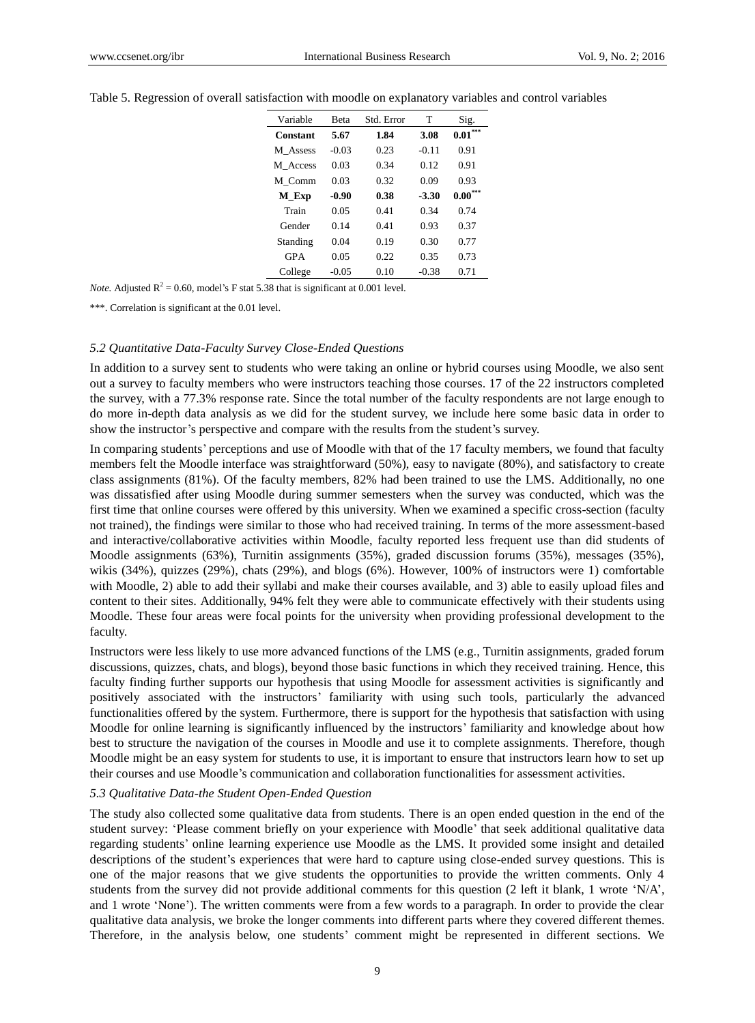| Variable   | <b>B</b> eta | Std. Error | т       | Sig.      |
|------------|--------------|------------|---------|-----------|
| Constant   | 5.67         | 1.84       | 3.08    | $0.01***$ |
| M Assess   | $-0.03$      | 0.23       | $-0.11$ | 0.91      |
| M Access   | 0.03         | 0.34       | 0.12    | 0.91      |
| M Comm     | 0.03         | 0.32       | 0.09    | 0.93      |
| M_Exp      | $-0.90$      | 0.38       | $-3.30$ | $0.00***$ |
| Train      | 0.05         | 0.41       | 0.34    | 0.74      |
| Gender     | 0.14         | 0.41       | 0.93    | 0.37      |
| Standing   | 0.04         | 0.19       | 0.30    | 0.77      |
| <b>GPA</b> | 0.05         | 0.22       | 0.35    | 0.73      |
| College    | $-0.05$      | 0.10       | $-0.38$ | 0.71      |

Table 5. Regression of overall satisfaction with moodle on explanatory variables and control variables

*Note.* Adjusted  $R^2 = 0.60$ , model's F stat 5.38 that is significant at 0.001 level.

\*\*\*. Correlation is significant at the 0.01 level.

#### *5.2 Quantitative Data-Faculty Survey Close-Ended Questions*

In addition to a survey sent to students who were taking an online or hybrid courses using Moodle, we also sent out a survey to faculty members who were instructors teaching those courses. 17 of the 22 instructors completed the survey, with a 77.3% response rate. Since the total number of the faculty respondents are not large enough to do more in-depth data analysis as we did for the student survey, we include here some basic data in order to show the instructor's perspective and compare with the results from the student's survey.

In comparing students' perceptions and use of Moodle with that of the 17 faculty members, we found that faculty members felt the Moodle interface was straightforward (50%), easy to navigate (80%), and satisfactory to create class assignments (81%). Of the faculty members, 82% had been trained to use the LMS. Additionally, no one was dissatisfied after using Moodle during summer semesters when the survey was conducted, which was the first time that online courses were offered by this university. When we examined a specific cross-section (faculty not trained), the findings were similar to those who had received training. In terms of the more assessment-based and interactive/collaborative activities within Moodle, faculty reported less frequent use than did students of Moodle assignments (63%), Turnitin assignments (35%), graded discussion forums (35%), messages (35%), wikis (34%), quizzes (29%), chats (29%), and blogs (6%). However, 100% of instructors were 1) comfortable with Moodle, 2) able to add their syllabi and make their courses available, and 3) able to easily upload files and content to their sites. Additionally, 94% felt they were able to communicate effectively with their students using Moodle. These four areas were focal points for the university when providing professional development to the faculty.

Instructors were less likely to use more advanced functions of the LMS (e.g., Turnitin assignments, graded forum discussions, quizzes, chats, and blogs), beyond those basic functions in which they received training. Hence, this faculty finding further supports our hypothesis that using Moodle for assessment activities is significantly and positively associated with the instructors' familiarity with using such tools, particularly the advanced functionalities offered by the system. Furthermore, there is support for the hypothesis that satisfaction with using Moodle for online learning is significantly influenced by the instructors' familiarity and knowledge about how best to structure the navigation of the courses in Moodle and use it to complete assignments. Therefore, though Moodle might be an easy system for students to use, it is important to ensure that instructors learn how to set up their courses and use Moodle's communication and collaboration functionalities for assessment activities.

#### *5.3 Qualitative Data-the Student Open-Ended Question*

The study also collected some qualitative data from students. There is an open ended question in the end of the student survey: 'Please comment briefly on your experience with Moodle' that seek additional qualitative data regarding students' online learning experience use Moodle as the LMS. It provided some insight and detailed descriptions of the student's experiences that were hard to capture using close-ended survey questions. This is one of the major reasons that we give students the opportunities to provide the written comments. Only 4 students from the survey did not provide additional comments for this question (2 left it blank, 1 wrote 'N/A', and 1 wrote 'None'). The written comments were from a few words to a paragraph. In order to provide the clear qualitative data analysis, we broke the longer comments into different parts where they covered different themes. Therefore, in the analysis below, one students' comment might be represented in different sections. We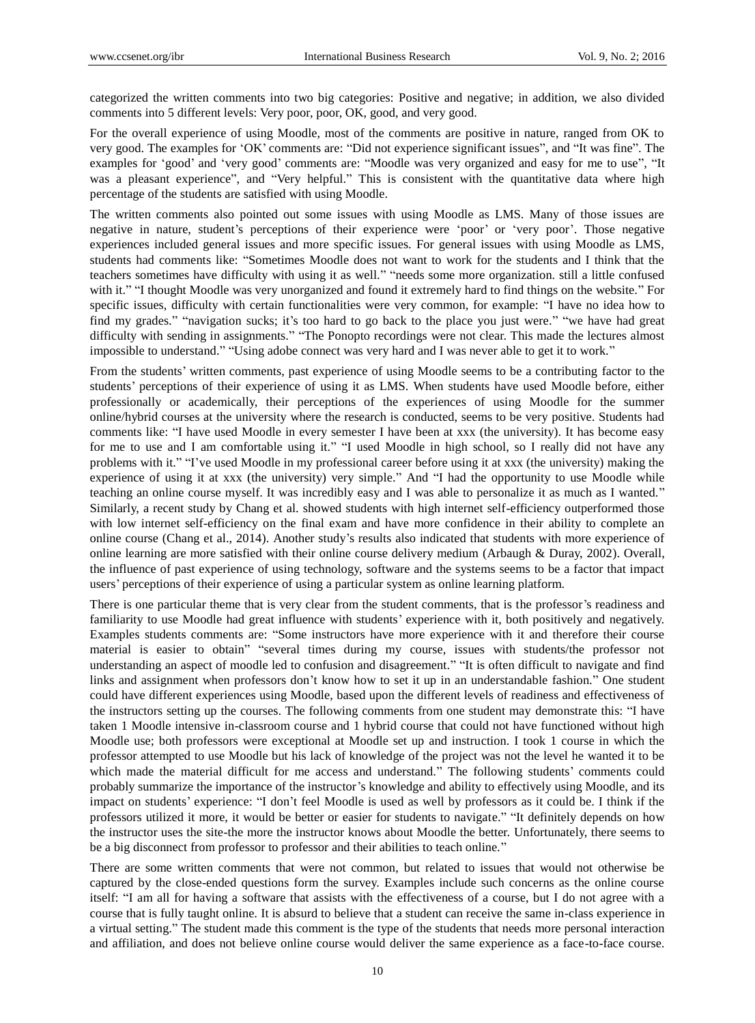categorized the written comments into two big categories: Positive and negative; in addition, we also divided comments into 5 different levels: Very poor, poor, OK, good, and very good.

For the overall experience of using Moodle, most of the comments are positive in nature, ranged from OK to very good. The examples for 'OK' comments are: "Did not experience significant issues", and "It was fine". The examples for 'good' and 'very good' comments are: "Moodle was very organized and easy for me to use", "It was a pleasant experience", and "Very helpful." This is consistent with the quantitative data where high percentage of the students are satisfied with using Moodle.

The written comments also pointed out some issues with using Moodle as LMS. Many of those issues are negative in nature, student's perceptions of their experience were 'poor' or 'very poor'. Those negative experiences included general issues and more specific issues. For general issues with using Moodle as LMS, students had comments like: "Sometimes Moodle does not want to work for the students and I think that the teachers sometimes have difficulty with using it as well." "needs some more organization. still a little confused with it." "I thought Moodle was very unorganized and found it extremely hard to find things on the website." For specific issues, difficulty with certain functionalities were very common, for example: "I have no idea how to find my grades." "navigation sucks; it's too hard to go back to the place you just were." "we have had great difficulty with sending in assignments." "The Ponopto recordings were not clear. This made the lectures almost impossible to understand." "Using adobe connect was very hard and I was never able to get it to work."

From the students' written comments, past experience of using Moodle seems to be a contributing factor to the students' perceptions of their experience of using it as LMS. When students have used Moodle before, either professionally or academically, their perceptions of the experiences of using Moodle for the summer online/hybrid courses at the university where the research is conducted, seems to be very positive. Students had comments like: "I have used Moodle in every semester I have been at xxx (the university). It has become easy for me to use and I am comfortable using it." "I used Moodle in high school, so I really did not have any problems with it." "I've used Moodle in my professional career before using it at xxx (the university) making the experience of using it at xxx (the university) very simple." And "I had the opportunity to use Moodle while teaching an online course myself. It was incredibly easy and I was able to personalize it as much as I wanted." Similarly, a recent study by Chang et al. showed students with high internet self-efficiency outperformed those with low internet self-efficiency on the final exam and have more confidence in their ability to complete an online course [\(Chang et al., 2014\)](#page-11-19). Another study's results also indicated that students with more experience of online learning are more satisfied with their online course delivery medium [\(Arbaugh & Duray, 2002\)](#page-10-1). Overall, the influence of past experience of using technology, software and the systems seems to be a factor that impact users' perceptions of their experience of using a particular system as online learning platform.

There is one particular theme that is very clear from the student comments, that is the professor's readiness and familiarity to use Moodle had great influence with students' experience with it, both positively and negatively. Examples students comments are: "Some instructors have more experience with it and therefore their course material is easier to obtain" "several times during my course, issues with students/the professor not understanding an aspect of moodle led to confusion and disagreement." "It is often difficult to navigate and find links and assignment when professors don't know how to set it up in an understandable fashion." One student could have different experiences using Moodle, based upon the different levels of readiness and effectiveness of the instructors setting up the courses. The following comments from one student may demonstrate this: "I have taken 1 Moodle intensive in-classroom course and 1 hybrid course that could not have functioned without high Moodle use; both professors were exceptional at Moodle set up and instruction. I took 1 course in which the professor attempted to use Moodle but his lack of knowledge of the project was not the level he wanted it to be which made the material difficult for me access and understand." The following students' comments could probably summarize the importance of the instructor's knowledge and ability to effectively using Moodle, and its impact on students' experience: "I don't feel Moodle is used as well by professors as it could be. I think if the professors utilized it more, it would be better or easier for students to navigate." "It definitely depends on how the instructor uses the site-the more the instructor knows about Moodle the better. Unfortunately, there seems to be a big disconnect from professor to professor and their abilities to teach online."

There are some written comments that were not common, but related to issues that would not otherwise be captured by the close-ended questions form the survey. Examples include such concerns as the online course itself: "I am all for having a software that assists with the effectiveness of a course, but I do not agree with a course that is fully taught online. It is absurd to believe that a student can receive the same in-class experience in a virtual setting." The student made this comment is the type of the students that needs more personal interaction and affiliation, and does not believe online course would deliver the same experience as a face-to-face course.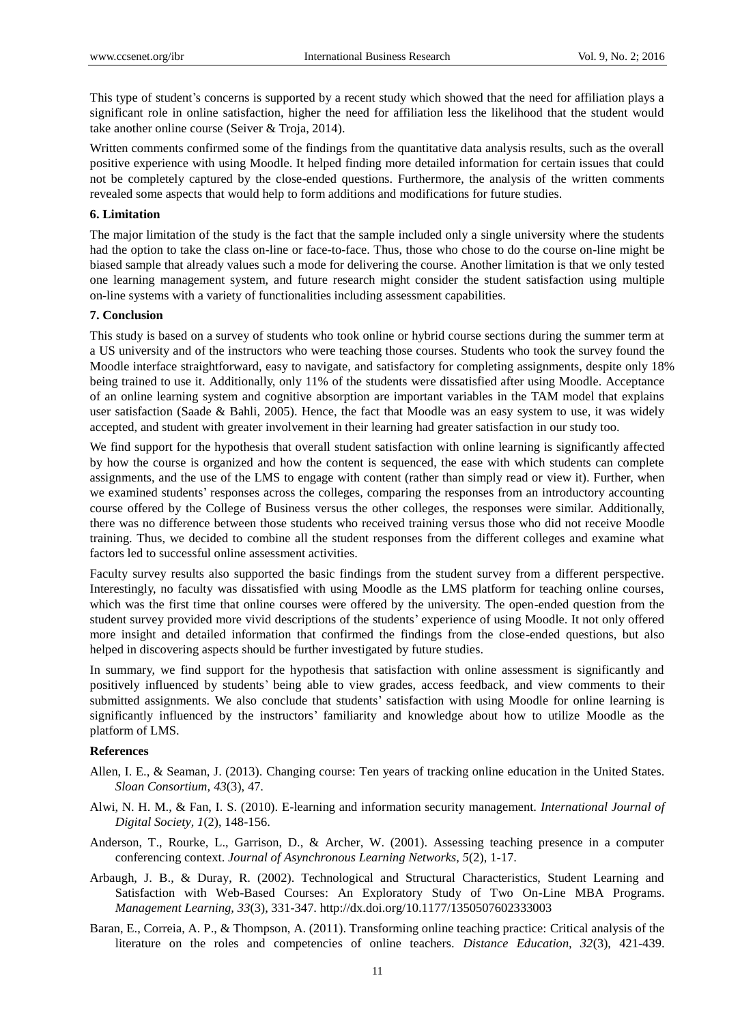This type of student's concerns is supported by a recent study which showed that the need for affiliation plays a significant role in online satisfaction, higher the need for affiliation less the likelihood that the student would take another online course [\(Seiver & Troja, 2014\)](#page-12-9).

Written comments confirmed some of the findings from the quantitative data analysis results, such as the overall positive experience with using Moodle. It helped finding more detailed information for certain issues that could not be completely captured by the close-ended questions. Furthermore, the analysis of the written comments revealed some aspects that would help to form additions and modifications for future studies.

## **6. Limitation**

The major limitation of the study is the fact that the sample included only a single university where the students had the option to take the class on-line or face-to-face. Thus, those who chose to do the course on-line might be biased sample that already values such a mode for delivering the course. Another limitation is that we only tested one learning management system, and future research might consider the student satisfaction using multiple on-line systems with a variety of functionalities including assessment capabilities.

## **7. Conclusion**

This study is based on a survey of students who took online or hybrid course sections during the summer term at a US university and of the instructors who were teaching those courses. Students who took the survey found the Moodle interface straightforward, easy to navigate, and satisfactory for completing assignments, despite only 18% being trained to use it. Additionally, only 11% of the students were dissatisfied after using Moodle. Acceptance of an online learning system and cognitive absorption are important variables in the TAM model that explains user satisfaction [\(Saade & Bahli, 2005\)](#page-12-10). Hence, the fact that Moodle was an easy system to use, it was widely accepted, and student with greater involvement in their learning had greater satisfaction in our study too.

We find support for the hypothesis that overall student satisfaction with online learning is significantly affected by how the course is organized and how the content is sequenced, the ease with which students can complete assignments, and the use of the LMS to engage with content (rather than simply read or view it). Further, when we examined students' responses across the colleges, comparing the responses from an introductory accounting course offered by the College of Business versus the other colleges, the responses were similar. Additionally, there was no difference between those students who received training versus those who did not receive Moodle training. Thus, we decided to combine all the student responses from the different colleges and examine what factors led to successful online assessment activities.

Faculty survey results also supported the basic findings from the student survey from a different perspective. Interestingly, no faculty was dissatisfied with using Moodle as the LMS platform for teaching online courses, which was the first time that online courses were offered by the university. The open-ended question from the student survey provided more vivid descriptions of the students' experience of using Moodle. It not only offered more insight and detailed information that confirmed the findings from the close-ended questions, but also helped in discovering aspects should be further investigated by future studies.

In summary, we find support for the hypothesis that satisfaction with online assessment is significantly and positively influenced by students' being able to view grades, access feedback, and view comments to their submitted assignments. We also conclude that students' satisfaction with using Moodle for online learning is significantly influenced by the instructors' familiarity and knowledge about how to utilize Moodle as the platform of LMS.

### **References**

- <span id="page-10-0"></span>Allen, I. E., & Seaman, J. (2013). Changing course: Ten years of tracking online education in the United States. *Sloan Consortium, 43*(3), 47.
- <span id="page-10-2"></span>Alwi, N. H. M., & Fan, I. S. (2010). E-learning and information security management. *International Journal of Digital Society, 1*(2), 148-156.
- <span id="page-10-4"></span>Anderson, T., Rourke, L., Garrison, D., & Archer, W. (2001). Assessing teaching presence in a computer conferencing context. *Journal of Asynchronous Learning Networks, 5*(2), 1-17.
- <span id="page-10-1"></span>Arbaugh, J. B., & Duray, R. (2002). Technological and Structural Characteristics, Student Learning and Satisfaction with Web-Based Courses: An Exploratory Study of Two On-Line MBA Programs. *Management Learning, 33*(3), 331-347. http://dx.doi.org/10.1177/1350507602333003
- <span id="page-10-3"></span>Baran, E., Correia, A. P., & Thompson, A. (2011). Transforming online teaching practice: Critical analysis of the literature on the roles and competencies of online teachers. *Distance Education, 32*(3), 421-439.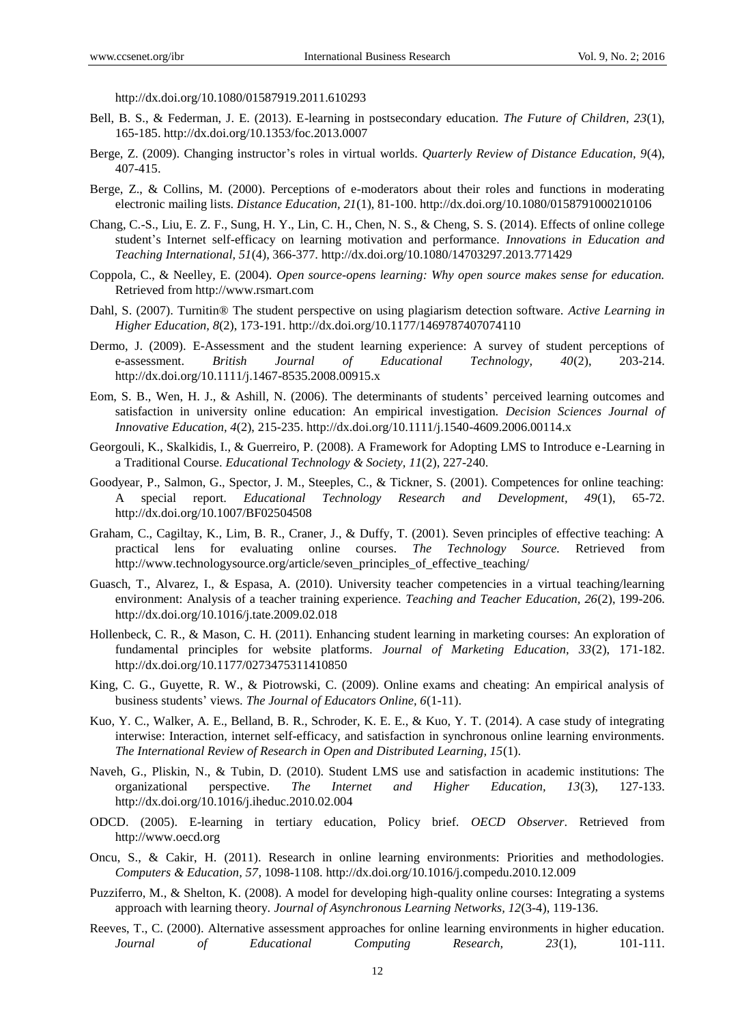http://dx.doi.org/10.1080/01587919.2011.610293

- <span id="page-11-4"></span>Bell, B. S., & Federman, J. E. (2013). E-learning in postsecondary education. *The Future of Children, 23*(1), 165-185.<http://dx.doi.org/10.1353/foc.2013.0007>
- <span id="page-11-10"></span>Berge, Z. (2009). Changing instructor's roles in virtual worlds. *Quarterly Review of Distance Education, 9*(4), 407-415.
- <span id="page-11-11"></span>Berge, Z., & Collins, M. (2000). Perceptions of e-moderators about their roles and functions in moderating electronic mailing lists. *Distance Education, 21*(1), 81-100.<http://dx.doi.org/10.1080/0158791000210106>
- <span id="page-11-19"></span>Chang, C.-S., Liu, E. Z. F., Sung, H. Y., Lin, C. H., Chen, N. S., & Cheng, S. S. (2014). Effects of online college student's Internet self-efficacy on learning motivation and performance. *Innovations in Education and Teaching International, 51*(4), 366-377. http://dx.doi.org/10.1080/14703297.2013.771429
- <span id="page-11-1"></span>Coppola, C., & Neelley, E. (2004). *Open source-opens learning: Why open source makes sense for education.* Retrieved from http://www.rsmart.com
- <span id="page-11-18"></span>Dahl, S. (2007). Turnitin® The student perspective on using plagiarism detection software. *Active Learning in Higher Education, 8*(2), 173-191. http://dx.doi.org/10.1177/1469787407074110
- <span id="page-11-8"></span>Dermo, J. (2009). E-Assessment and the student learning experience: A survey of student perceptions of e-assessment. *British Journal of Educational Technology, 40*(2), 203-214. http://dx.doi.org/10.1111/j.1467-8535.2008.00915.x
- <span id="page-11-5"></span>Eom, S. B., Wen, H. J., & Ashill, N. (2006). The determinants of students' perceived learning outcomes and satisfaction in university online education: An empirical investigation. *Decision Sciences Journal of Innovative Education, 4*(2), 215-235[. http://dx.doi.org/10.1111/j.1540-4609.2006.00114.x](http://dx.doi.org/10.1111/j.1540-4609.2006.00114.x)
- <span id="page-11-2"></span>Georgouli, K., Skalkidis, I., & Guerreiro, P. (2008). A Framework for Adopting LMS to Introduce e-Learning in a Traditional Course. *Educational Technology & Society, 11*(2), 227-240.
- <span id="page-11-12"></span>Goodyear, P., Salmon, G., Spector, J. M., Steeples, C., & Tickner, S. (2001). Competences for online teaching: A special report. *Educational Technology Research and Development, 49*(1), 65-72. <http://dx.doi.org/10.1007/BF02504508>
- <span id="page-11-13"></span>Graham, C., Cagiltay, K., Lim, B. R., Craner, J., & Duffy, T. (2001). Seven principles of effective teaching: A practical lens for evaluating online courses. *The Technology Source.* Retrieved from [http://www.technologysource.org/article/seven\\_principles\\_of\\_effective\\_teaching/](http://www.technologysource.org/article/seven_principles_of_effective_teaching/)
- <span id="page-11-14"></span>Guasch, T., Alvarez, I., & Espasa, A. (2010). University teacher competencies in a virtual teaching/learning environment: Analysis of a teacher training experience. *Teaching and Teacher Education, 26*(2), 199-206. <http://dx.doi.org/10.1016/j.tate.2009.02.018>
- <span id="page-11-3"></span>Hollenbeck, C. R., & Mason, C. H. (2011). Enhancing student learning in marketing courses: An exploration of fundamental principles for website platforms. *Journal of Marketing Education, 33*(2), 171-182. <http://dx.doi.org/10.1177/0273475311410850>
- <span id="page-11-9"></span>King, C. G., Guyette, R. W., & Piotrowski, C. (2009). Online exams and cheating: An empirical analysis of business students' views. *The Journal of Educators Online, 6*(1-11).
- <span id="page-11-17"></span>Kuo, Y. C., Walker, A. E., Belland, B. R., Schroder, K. E. E., & Kuo, Y. T. (2014). A case study of integrating interwise: Interaction, internet self-efficacy, and satisfaction in synchronous online learning environments. *The International Review of Research in Open and Distributed Learning, 15*(1).
- <span id="page-11-7"></span>Naveh, G., Pliskin, N., & Tubin, D. (2010). Student LMS use and satisfaction in academic institutions: The organizational perspective. *The Internet and Higher Education, 13*(3), 127-133. <http://dx.doi.org/10.1016/j.iheduc.2010.02.004>
- <span id="page-11-0"></span>ODCD. (2005). E-learning in tertiary education, Policy brief. *OECD Observer*. Retrieved from http:/[/www.oecd.org](http://www.oecd.org/)
- <span id="page-11-15"></span>Oncu, S., & Cakir, H. (2011). Research in online learning environments: Priorities and methodologies. *Computers & Education, 57,* 1098-1108.<http://dx.doi.org/10.1016/j.compedu.2010.12.009>
- <span id="page-11-16"></span>Puzziferro, M., & Shelton, K. (2008). A model for developing high-quality online courses: Integrating a systems approach with learning theory. *Journal of Asynchronous Learning Networks, 12*(3-4), 119-136.
- <span id="page-11-6"></span>Reeves, T., C. (2000). Alternative assessment approaches for online learning environments in higher education. *Journal of Educational Computing Research, 23*(1), 101-111.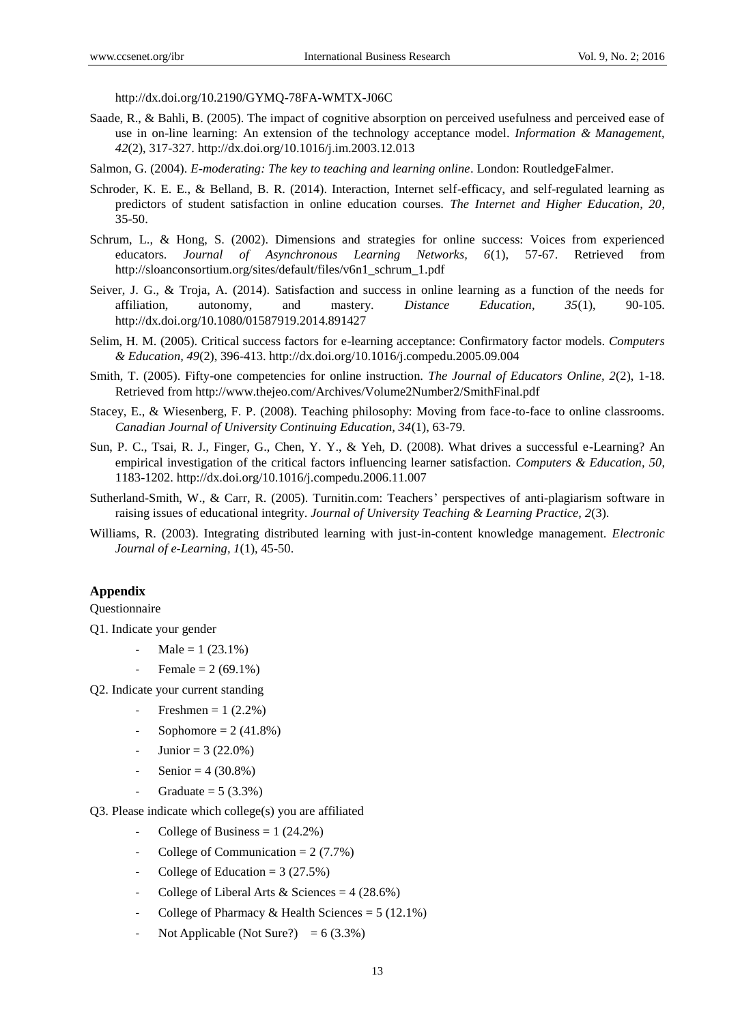<http://dx.doi.org/10.2190/GYMQ-78FA-WMTX-J06C>

<span id="page-12-10"></span>Saade, R., & Bahli, B. (2005). The impact of cognitive absorption on perceived usefulness and perceived ease of use in on-line learning: An extension of the technology acceptance model. *Information & Management, 42*(2), 317-327.<http://dx.doi.org/10.1016/j.im.2003.12.013>

<span id="page-12-5"></span>Salmon, G. (2004). *E-moderating: The key to teaching and learning online*. London: RoutledgeFalmer.

- <span id="page-12-7"></span>Schroder, K. E. E., & Belland, B. R. (2014). Interaction, Internet self-efficacy, and self-regulated learning as predictors of student satisfaction in online education courses. *The Internet and Higher Education, 20*, 35-50.
- <span id="page-12-4"></span>Schrum, L., & Hong, S. (2002). Dimensions and strategies for online success: Voices from experienced educators. *Journal of Asynchronous Learning Networks, 6*(1), 57-67. Retrieved from [http://sloanconsortium.org/sites/default/files/v6n1\\_schrum\\_1.pdf](http://sloanconsortium.org/sites/default/files/v6n1_schrum_1.pdf)
- <span id="page-12-9"></span>Seiver, J. G., & Troja, A. (2014). Satisfaction and success in online learning as a function of the needs for affiliation, autonomy, and mastery. *Distance Education, 35*(1), 90-105. <http://dx.doi.org/10.1080/01587919.2014.891427>
- <span id="page-12-2"></span>Selim, H. M. (2005). Critical success factors for e-learning acceptance: Confirmatory factor models. *Computers & Education, 49*(2), 396-413.<http://dx.doi.org/10.1016/j.compedu.2005.09.004>
- <span id="page-12-6"></span>Smith, T. (2005). Fifty-one competencies for online instruction. *The Journal of Educators Online, 2*(2), 1-18. Retrieved from<http://www.thejeo.com/Archives/Volume2Number2/SmithFinal.pdf>
- <span id="page-12-3"></span>Stacey, E., & Wiesenberg, F. P. (2008). Teaching philosophy: Moving from face-to-face to online classrooms. *Canadian Journal of University Continuing Education, 34*(1), 63-79.
- <span id="page-12-1"></span>Sun, P. C., Tsai, R. J., Finger, G., Chen, Y. Y., & Yeh, D. (2008). What drives a successful e-Learning? An empirical investigation of the critical factors influencing learner satisfaction. *Computers & Education, 50*, 1183-1202.<http://dx.doi.org/10.1016/j.compedu.2006.11.007>
- <span id="page-12-8"></span>Sutherland-Smith, W., & Carr, R. (2005). Turnitin.com: Teachers' perspectives of anti-plagiarism software in raising issues of educational integrity. *Journal of University Teaching & Learning Practice, 2*(3).
- <span id="page-12-0"></span>Williams, R. (2003). Integrating distributed learning with just-in-content knowledge management. *Electronic Journal of e-Learning, 1*(1), 45-50.

## **Appendix**

Questionnaire

Q1. Indicate your gender

- Male =  $1 (23.1\%)$
- Female =  $2(69.1\%)$

Q2. Indicate your current standing

- Freshmen  $= 1 (2.2\%)$
- Sophomore  $= 2 (41.8%)$
- Junior =  $3(22.0\%)$
- Senior =  $4 (30.8\%)$
- Graduate =  $5 (3.3%)$

Q3. Please indicate which college(s) you are affiliated

- College of Business  $= 1$  (24.2%)
- College of Communication  $= 2$  (7.7%)
- College of Education =  $3(27.5%)$
- College of Liberal Arts & Sciences =  $4(28.6\%)$
- College of Pharmacy & Health Sciences =  $5(12.1\%)$
- Not Applicable (Not Sure?) =  $6(3.3\%)$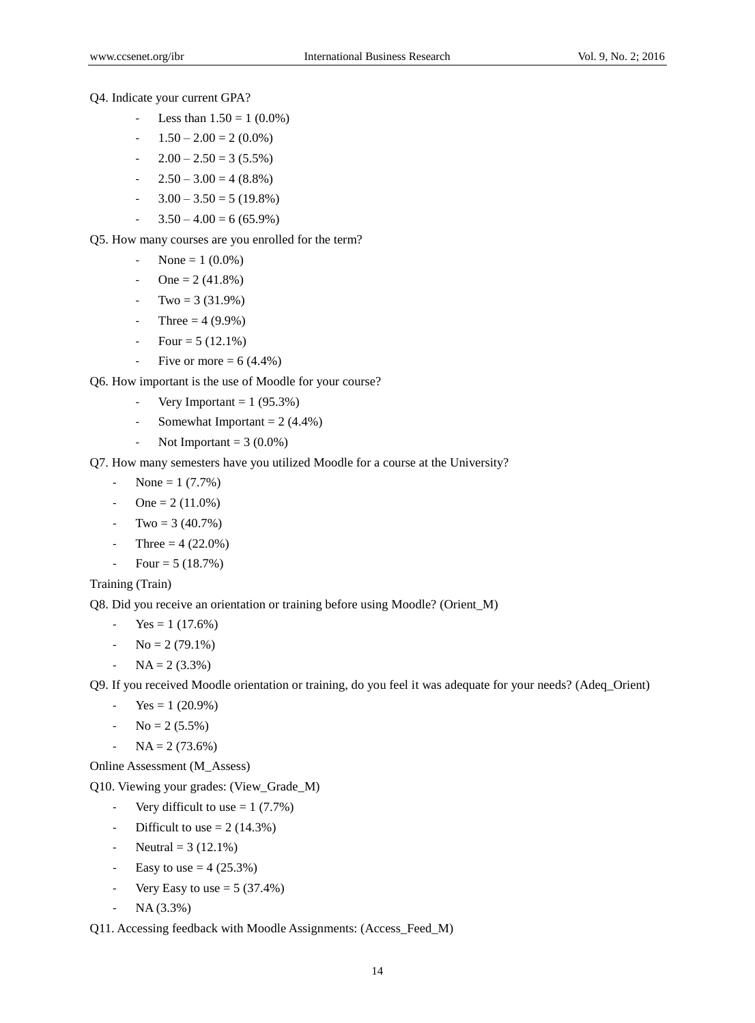Q4. Indicate your current GPA?

- Less than  $1.50 = 1 (0.0\%)$
- $-1.50 2.00 = 2(0.0\%)$
- $-2.00 2.50 = 3(5.5%)$
- $-2.50 3.00 = 4 (8.8\%)$
- $-3.00 3.50 = 5(19.8\%)$
- $-3.50 4.00 = 6(65.9\%)$

Q5. How many courses are you enrolled for the term?

- None =  $1 (0.0\%)$
- One  $= 2 (41.8\%)$
- $Two = 3 (31.9\%)$
- Three =  $4(9.9\%)$
- Four =  $5(12.1\%)$
- Five or more =  $6(4.4\%)$

Q6. How important is the use of Moodle for your course?

- Very Important  $= 1 (95.3\%)$
- Somewhat Important  $= 2 (4.4\%)$
- Not Important =  $3(0.0\%)$

Q7. How many semesters have you utilized Moodle for a course at the University?

- $-$  None = 1 (7.7%)
- One =  $2(11.0\%)$
- Two =  $3(40.7%)$
- Three =  $4 (22.0\%)$
- Four =  $5(18.7%)$

Training (Train)

Q8. Did you receive an orientation or training before using Moodle? (Orient\_M)

- $-$  Yes = 1 (17.6%)
- $No = 2 (79.1\%)$
- $N A = 2 (3.3\%)$

Q9. If you received Moodle orientation or training, do you feel it was adequate for your needs? (Adeq\_Orient)

- $-$  Yes = 1 (20.9%)
- $-$  No = 2 (5.5%)
- $N A = 2 (73.6%)$

Online Assessment (M\_Assess)

Q10. Viewing your grades: (View\_Grade\_M)

- Very difficult to use  $= 1$  (7.7%)
- Difficult to use  $= 2$  (14.3%)
- Neutral =  $3(12.1\%)$
- Easy to use  $= 4 (25.3\%)$
- Very Easy to use  $= 5 (37.4%)$
- $N A (3.3\%)$

Q11. Accessing feedback with Moodle Assignments: (Access\_Feed\_M)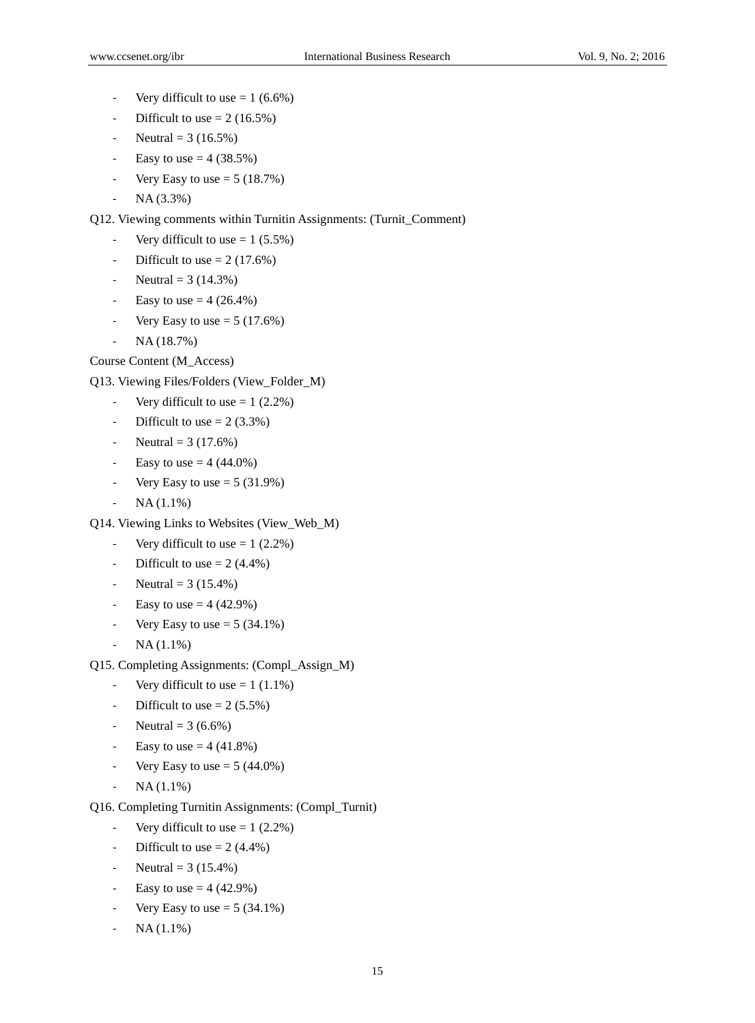- Very difficult to use  $= 1$  (6.6%)
- Difficult to use  $= 2 (16.5\%)$
- Neutral =  $3(16.5%)$
- Easy to use  $= 4 (38.5%)$
- Very Easy to use  $= 5 (18.7%)$
- $N A (3.3\%)$

Q12. Viewing comments within Turnitin Assignments: (Turnit\_Comment)

- Very difficult to use  $= 1 (5.5\%)$
- Difficult to use  $= 2$  (17.6%)
- Neutral  $= 3 (14.3\%)$
- Easy to use  $= 4 (26.4%)$
- Very Easy to use  $= 5 (17.6%)$
- $N A (18.7%)$

Course Content (M\_Access)

Q13. Viewing Files/Folders (View\_Folder\_M)

- Very difficult to use  $= 1$  (2.2%)
- Difficult to use  $= 2$  (3.3%)
- Neutral =  $3(17.6%)$
- Easy to use  $= 4 (44.0\%)$
- Very Easy to use  $= 5 (31.9\%)$
- $N A (1.1\%)$

Q14. Viewing Links to Websites (View\_Web\_M)

- Very difficult to use  $= 1$  (2.2%)
- Difficult to use  $= 2$  (4.4%)
- Neutral  $= 3 (15.4\%)$
- Easy to use  $= 4 (42.9\%)$
- Very Easy to use  $= 5 (34.1\%)$
- NA (1.1%)

Q15. Completing Assignments: (Compl\_Assign\_M)

- Very difficult to use  $= 1$  (1.1%)
- Difficult to use  $= 2 (5.5\%)$
- Neutral =  $3(6.6\%)$
- Easy to use  $= 4 (41.8\%)$
- Very Easy to use  $= 5 (44.0\%)$
- $N A (1.1\%)$

Q16. Completing Turnitin Assignments: (Compl\_Turnit)

- Very difficult to use  $= 1$  (2.2%)
- Difficult to use  $= 2$  (4.4%)
- Neutral =  $3(15.4%)$
- Easy to use  $= 4 (42.9%)$
- Very Easy to use  $= 5 (34.1\%)$
- $NA(1.1\%)$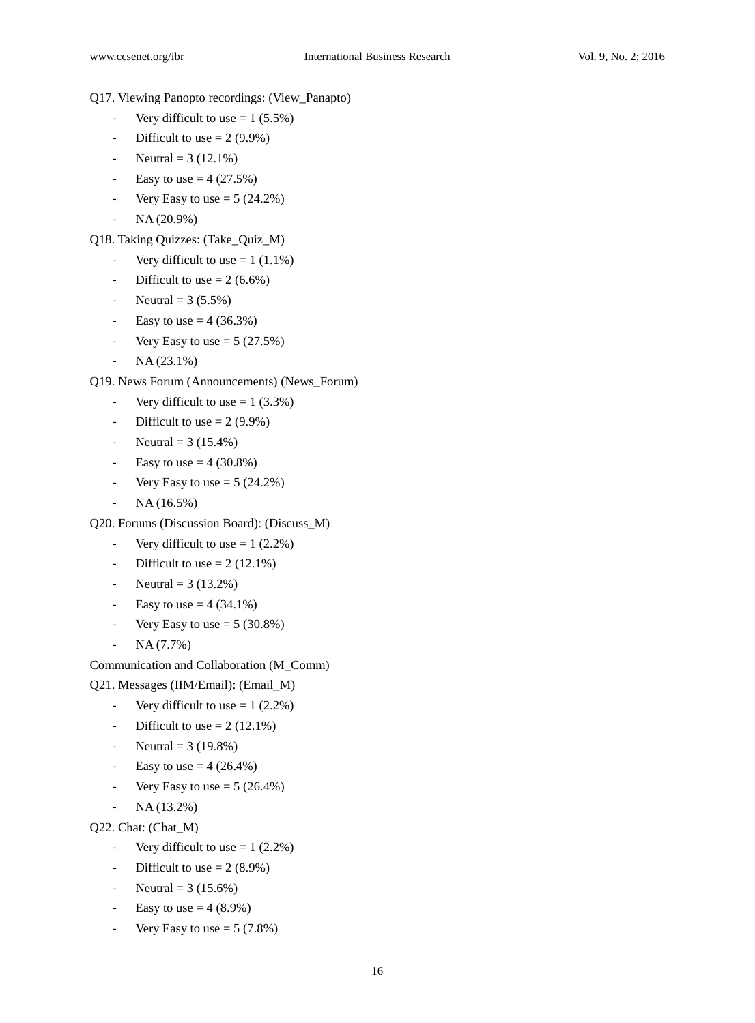Q17. Viewing Panopto recordings: (View\_Panapto)

- Very difficult to use  $= 1 (5.5\%)$
- Difficult to use  $= 2 (9.9\%)$
- Neutral =  $3(12.1\%)$
- Easy to use  $= 4 (27.5%)$
- Very Easy to use  $= 5 (24.2\%)$
- NA (20.9%)

```
Q18. Taking Quizzes: (Take_Quiz_M)
```
- Very difficult to use  $= 1$  (1.1%)
- Difficult to use  $= 2 (6.6\%)$
- Neutral =  $3 (5.5\%)$
- Easy to use  $= 4 (36.3\%)$
- Very Easy to use  $= 5 (27.5%)$
- $N A (23.1\%)$

Q19. News Forum (Announcements) (News\_Forum)

- Very difficult to use  $= 1$  (3.3%)
- Difficult to use  $= 2 (9.9\%)$
- Neutral =  $3(15.4\%)$
- Easy to use  $= 4 (30.8\%)$
- Very Easy to use  $= 5 (24.2\%)$
- $-$  NA (16.5%)

Q20. Forums (Discussion Board): (Discuss\_M)

- Very difficult to use  $= 1$  (2.2%)
- Difficult to use  $= 2 (12.1\%)$
- Neutral  $= 3 (13.2\%)$
- Easy to use  $= 4 (34.1\%)$
- Very Easy to use  $= 5 (30.8\%)$
- $N A (7.7%)$

Communication and Collaboration (M\_Comm)

Q21. Messages (IIM/Email): (Email\_M)

- Very difficult to use  $= 1$  (2.2%)
- Difficult to use  $= 2 (12.1\%)$
- Neutral =  $3(19.8%)$
- Easy to use  $= 4 (26.4\%)$
- Very Easy to use  $= 5 (26.4\%)$
- $N A (13.2%)$
- Q22. Chat: (Chat\_M)
	- Very difficult to use  $= 1$  (2.2%)
	- Difficult to use  $= 2 (8.9\%)$
	- Neutral =  $3(15.6%)$
	- Easy to use  $= 4 (8.9\%)$
	- Very Easy to use  $= 5 (7.8%)$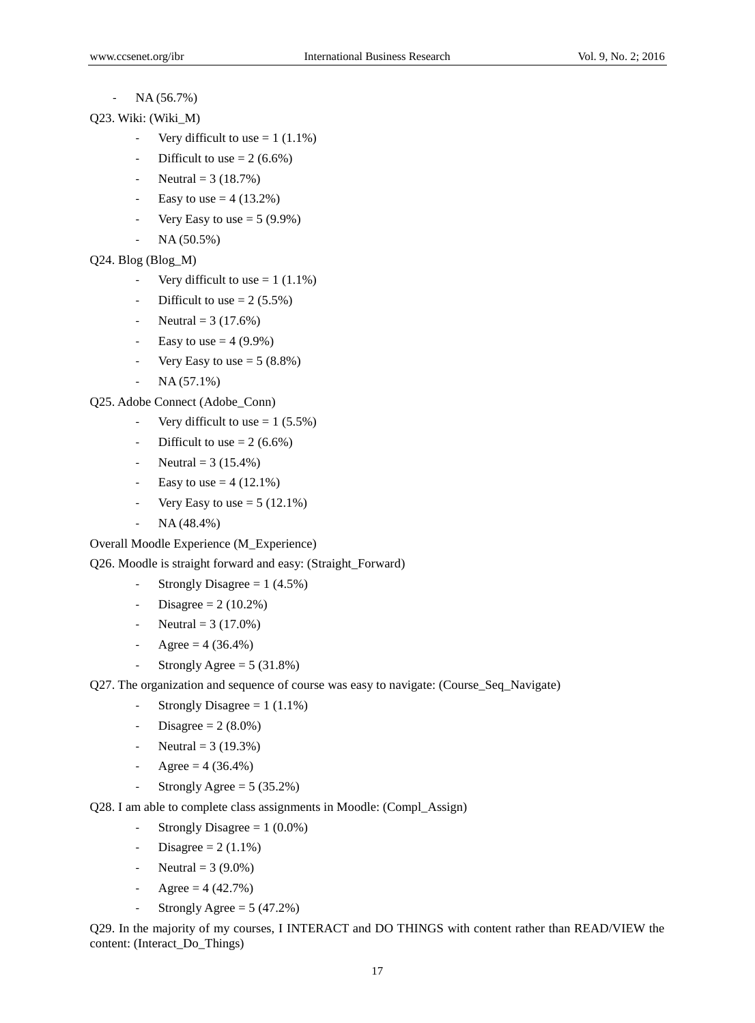$- N A (56.7%)$ 

## Q23. Wiki: (Wiki\_M)

- Very difficult to use  $= 1$  (1.1%)
- Difficult to use  $= 2 (6.6\%)$
- Neutral =  $3(18.7%)$
- Easy to use  $= 4 (13.2\%)$
- Very Easy to use  $= 5 (9.9\%)$
- NA (50.5%)
- Q24. Blog (Blog\_M)
	- Very difficult to use  $= 1$  (1.1%)
	- Difficult to use  $= 2 (5.5\%)$
	- Neutral =  $3(17.6%)$
	- Easy to use  $= 4 (9.9\%)$
	- Very Easy to use  $= 5 (8.8\%)$
	- NA (57.1%)
- Q25. Adobe Connect (Adobe\_Conn)
	- Very difficult to use  $= 1$  (5.5%)
	- Difficult to use  $= 2 (6.6\%)$
	- Neutral =  $3(15.4%)$
	- Easy to use  $= 4 (12.1\%)$
	- Very Easy to use  $= 5 (12.1\%)$
	- $N_A (48.4\%)$

Overall Moodle Experience (M\_Experience)

Q26. Moodle is straight forward and easy: (Straight\_Forward)

- Strongly Disagree  $= 1$  (4.5%)
- Disagree =  $2(10.2\%)$
- Neutral =  $3(17.0\%)$
- Agree  $= 4 (36.4\%)$
- Strongly Agree  $= 5 (31.8\%)$

Q27. The organization and sequence of course was easy to navigate: (Course\_Seq\_Navigate)

- Strongly Disagree  $= 1 (1.1\%)$
- $-$  Disagree = 2 (8.0%)
- Neutral =  $3(19.3\%)$
- Agree  $= 4 (36.4\%)$
- Strongly Agree =  $5(35.2\%)$

Q28. I am able to complete class assignments in Moodle: (Compl\_Assign)

- Strongly Disagree  $= 1 (0.0\%)$
- Disagree =  $2(1.1\%)$
- Neutral =  $3(9.0\%)$
- Agree  $= 4 (42.7%)$
- Strongly Agree =  $5(47.2%)$

Q29. In the majority of my courses, I INTERACT and DO THINGS with content rather than READ/VIEW the content: (Interact\_Do\_Things)